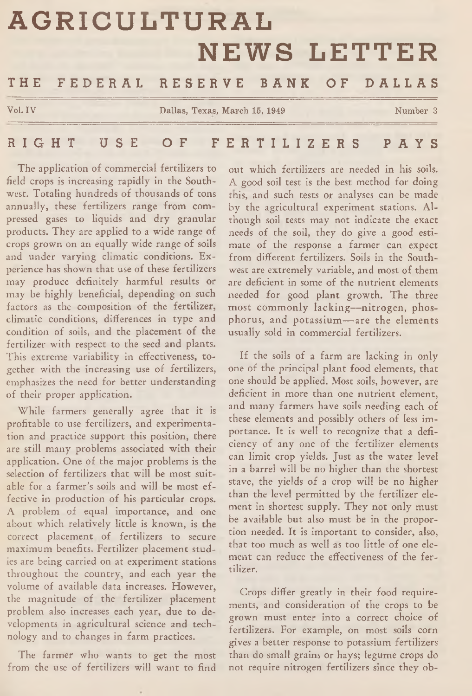# **AGRICULTURAL Vol. IV Collection Collection Collection Dallas, Texas, March 15, 1949 Number 3 NEWS LETTER** THE FEDERAL RESERVE BANK OF DALLAS

R I G H T USE OF F E R T I L I Z E R S P A Y S

The application of commercial fertilizers to field crops is increasing rapidly in the Southwest. Totaling hundreds of thousands of tons annually, these fertilizers range from compressed gases to liquids and dry granular products. They are applied to a wide range of crops grown on an equally wide range of soils and under varying climatic conditions. Experience has shown that use of these fertilizers may produce definitely harmful results or may be highly beneficial, depending on such factors as the composition of the fertilizer, climatic conditions, differences in type and condition of soils, and the placement of the fertilizer with respect to the seed and plants. This extreme variability in effectiveness, together with the increasing use of fertilizers, emphasizes the need for better understanding of their proper application.

While farmers generally agree that it is profitable to use fertilizers, and experimentation and practice support this position, there are still many problems associated with their application. One of the major problems is the selection of fertilizers that will be most suitable for a farmer's soils and will be most effective in production of his particular crops. A problem of equal importance, and one about which relatively little is known, is the correct placement of fertilizers to secure maximum benefits. Fertilizer placement studies are being carried on at experiment stations throughout the country, and each year the volume of available data increases. However, the magnitude of the fertilizer placement problem also increases each year, due to developments in agricultural science and technology and to changes in farm practices.

The farmer who wants to get the most from the use of fertilizers will want to find out which fertilizers are needed in his soils. A good soil test is the best method for doing this, and such tests or analyses can be made by the agricultural experiment stations. Although soil tests may not indicate the exact needs of the soil, they do give a good estimate of the response a farmer can expect from different fertilizers. Soils in the Southwest are extremely variable, and most of them are deficient in some of the nutrient elements needed for good plant growth. The three most commonly lacking—nitrogen, phosphorus, and potassium— are the elements usually sold in commercial fertilizers.

If the soils of a farm are lacking in only one of the principal plant food elements, that one should be applied. Most soils, however, are deficient in more than one nutrient element, and many farmers have soils needing each of these elements and possibly others of less importance. It is well to recognize that a deficiency of any one of the fertilizer elements can limit crop yields. Just as the water level in a barrel will be no higher than the shortest stave, the yields of a crop will be no higher than the level permitted by the fertilizer element in shortest supply. They not only must be available but also must be in the proportion needed. It is important to consider, also, that too much as well as too little of one element can reduce the effectiveness of the fertilizer.

Crops differ greatly in their food requirements, and consideration of the crops to be grown must enter into a correct choice of fertilizers. For example, on most soils corn gives a better response to potassium fertilizers than do small grains or hays; legume crops do not require nitrogen fertilizers since they ob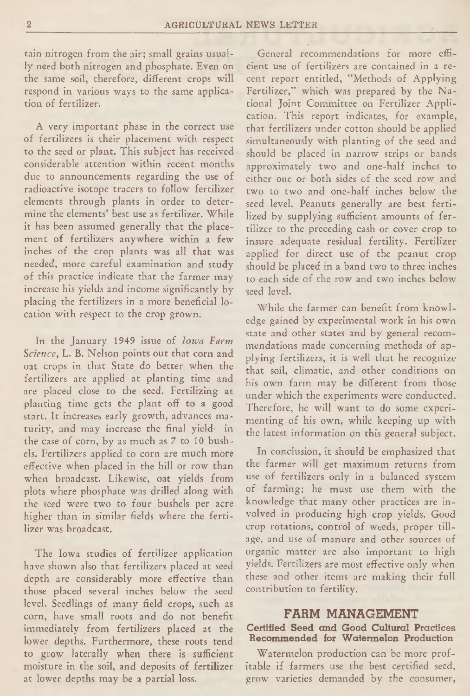tain nitrogen from the air; small grains usually need both nitrogen and phosphate. Even on the same soil, therefore, different crops will respond in various ways to the same application of fertilizer.

A very important phase in the correct use of fertilizers is their placement with respect to the seed or plant. This subject has received considerable attention within recent months due to announcements regarding the use of radioactive isotope tracers to follow fertilizer elements through plants in order to determine the elements' best use as fertilizer. While it has been assumed generally that the placement of fertilizers anywhere within a few inches of the crop plants was all that was needed, more careful examination and study of this practice indicate that the farmer may increase his yields and income significantly by placing the fertilizers in a more beneficial location with respect to the crop grown.

In the January 1949 issue of *Iowa Farm Science,* L. B. Nelson points out that corn and oat crops in that State do better when the fertilizers are applied at planting time and are placed close to the seed. Fertilizing at planting time gets the plant off to a good start. It increases early growth, advances maturity, and may increase the final yield—in the case of corn, by as much as 7 to 10 bushels. Fertilizers applied to corn are much more effective when placed in the hill or row than when broadcast. Likewise, oat yields from plots where phosphate was drilled along with the seed were two to four bushels per acre higher than in similar fields where the fertilizer was broadcast.

The Iowa studies of fertilizer application have shown also that fertilizers placed at seed depth are considerably more effective than those placed several inches below the seed level. Seedlings of many field crops, such as corn, have small roots and do not benefit immediately from fertilizers placed at the lower depths. Furthermore, these roots tend to grow laterally when there is sufficient moisture in the soil, and deposits of fertilizer at lower depths may be a partial loss.

General recommendations for more efficient use of fertilizers are contained in a recent report entitled, "Methods of Applying Fertilizer," which was prepared by the National Joint Committee on Fertilizer Application. This report indicates, for example, that fertilizers under cotton should be applied simultaneously with planting of the seed and should be placed in narrow strips or bands approximately two and one-half inches to either one or both sides of the seed row and two to two and one-half inches below the seed level. Peanuts generally are best fertilized by supplying sufficient amounts of fertilizer to the preceding cash or cover crop to insure adequate residual fertility. Fertilizer applied for direct use of the peanut crop should be placed in a band two to three inches to each side of the row and two inches below seed level.

While the farmer can benefit from knowledge gained by experimental work in his own state and other states and by general recommendations made concerning methods of applying fertilizers, it is well that he recognize that soil, climatic, and other conditions on his own farm may be different from those under which the experiments were conducted. Therefore, he will want to do some experimenting of his own, while keeping up with the latest information on this general subject.

In conclusion, it should be emphasized that the farmer will get maximum returns from use of fertilizers only in a balanced system of farming; he must use them with the knowledge that many other practices are involved in producing high crop yields. Good crop rotations, control of weeds, proper tillage, and use of manure and other sources of organic matter are also important to high yields. Fertilizers are most effective only when these and other items are making their full contribution to fertility.

# FARM MANAGEMENT

Certified Seed and Good Cultural Practices Recommended for Watermelon Production

Watermelon production can be more profitable if farmers use the best certified seed, grow varieties demanded by the consumer,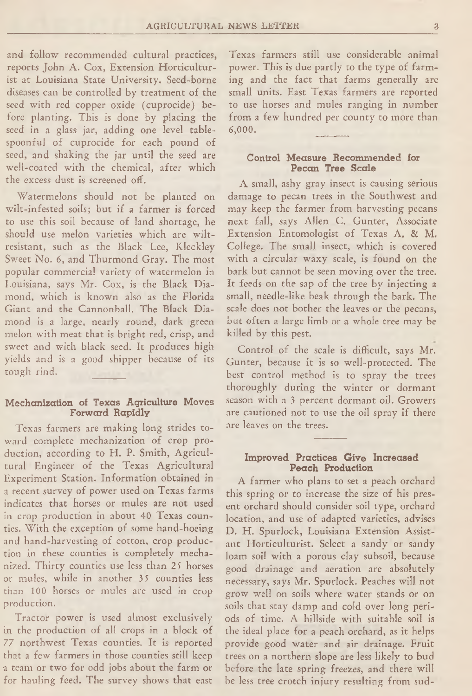and follow recommended cultural practices, reports John A. Cox, Extension Horticulturist at Louisiana State University. Seed-borne diseases can be controlled by treatment of the seed with red copper oxide (cuprocide) before planting. This is done by placing the seed in a glass jar, adding one level tablespoonful of cuprocide for each pound of seed, and shaking the jar until the seed are well-coated with the chemical, after which the excess dust is screened off.

Watermelons should not be planted on wilt-infested soils; but if a farmer is forced to use this soil because of land shortage, he should use melon varieties which are wiltresistant, such as the Black Lee, Kleckley Sweet No. 6, and Thurmond Gray. The most popular commercial variety of watermelon in Louisiana, says Mr. Cox, is the Black Diamond, which is known also as the Florida Giant and the Cannonball. The Black Diamond is a large, nearly round, dark green melon with meat that is bright red, crisp, and sweet and with black seed. It produces high yields and is a good shipper because of its tough rind.

### Mechanization of Texas Agriculture Moves Forward Rapidly

Texas farmers are making long strides toward complete mechanization of crop production, according to H. P. Smith, Agricultural Engineer of the Texas Agricultural Experiment Station. Information obtained in a recent survey of power used on Texas farms indicates that horses or mules are not used in crop production in about 40 Texas counties. With the exception of some hand-hoeing and hand-harvesting of cotton, crop production in these counties is completely mechanized. Thirty counties use less than 25 horses or mules, while in another 35 counties less than 100 horses or mules are used in crop production.

Tractor power is used almost exclusively in the production of all crops in a block of 77 northwest Texas counties. It is reported that a few farmers in those counties still keep a team or two for odd jobs about the farm or for hauling feed. The survey shows that east Texas farmers still use considerable animal power. This is due partly to the type of farming and the fact that farms generally are small units. East Texas farmers are reported to use horses and mules ranging in number from a few hundred per county to more than 6**,**000**.**

## Control Measure Recommended for Pecan Tree Scale

A small, ashy gray insect is causing serious damage to pecan trees in the Southwest and may keep the farmer from harvesting pecans next fall, says Allen C. Gunter, Associate Extension Entomologist of Texas A. & M. College. The small insect, which is covered with a circular waxy scale, is found on the bark but cannot be seen moving over the tree. It feeds on the sap of the tree by injecting a small, needle-like beak through the bark. The scale does not bother the leaves or the pecans, but often a large limb or a whole tree may be killed by this pest.

Control of the scale is difficult, says Mr, Gunter, because it is so well-protected. The best control method is to spray the trees thoroughly during the winter or dormant season with a 3 percent dormant oil. Growers are cautioned not to use the oil spray if there are leaves on the trees.

#### Improved Practices Give Increased Peach Production

A farmer who plans to set a peach orchard this spring or to increase the size of his present orchard should consider soil type, orchard location, and use of adapted varieties, advises D. H. Spurlock, Louisiana Extension Assistant Horticulturist. Select a sandy or sandy loam soil with a porous clay subsoil, because good drainage and aeration are absolutely necessary, says Mr. Spurlock. Peaches will not grow well on soils where water stands or on soils that stay damp and cold over long periods of time. A hillside with suitable soil is the ideal place for a peach orchard, as it helps provide good water and air drainage. Fruit trees on a northern slope are less likely to bud before the late spring freezes, and there will be less tree crotch injury resulting from sud-